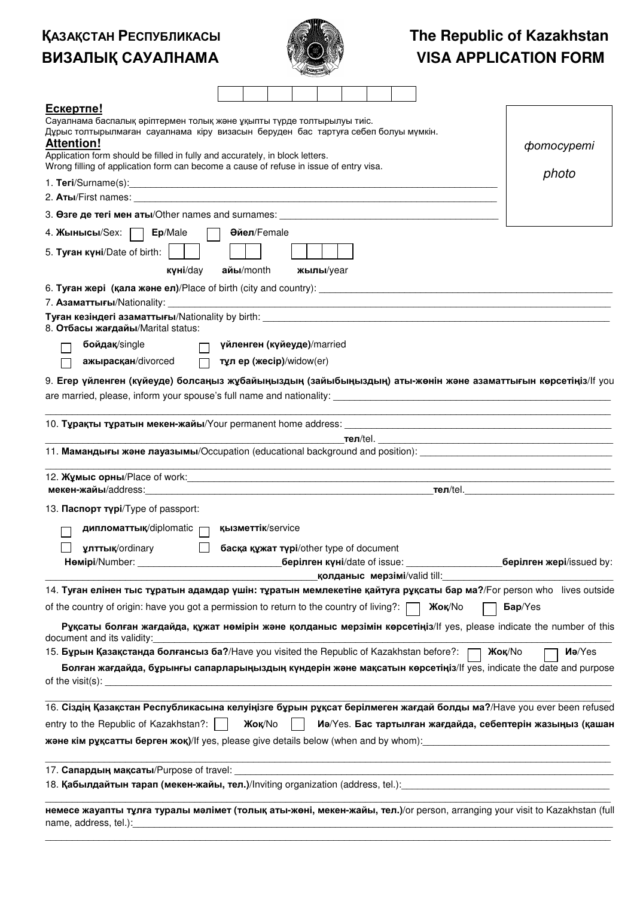## Қазақстан Республикасы ВИЗАЛЫҚ САУАЛНАМА



## **The Republic of Kazakhstan VISA APPLICATION FORM**

| Ескертпе!<br>Сауалнама баспалық әріптермен толық және ұқыпты түрде толтырылуы тиіс.<br>Дұрыс толтырылмаған сауалнама кіру визасын беруден бас тартуға себеп болуы мүмкін.<br><b>Attention!</b><br>Application form should be filled in fully and accurately, in block letters.<br>Wrong filling of application form can become a cause of refuse in issue of entry visa. |                                         |  |                              |  |                                     | <i>chomocypemi</i><br>photo                                                               |
|--------------------------------------------------------------------------------------------------------------------------------------------------------------------------------------------------------------------------------------------------------------------------------------------------------------------------------------------------------------------------|-----------------------------------------|--|------------------------------|--|-------------------------------------|-------------------------------------------------------------------------------------------|
|                                                                                                                                                                                                                                                                                                                                                                          |                                         |  |                              |  |                                     |                                                                                           |
|                                                                                                                                                                                                                                                                                                                                                                          |                                         |  |                              |  |                                     |                                                                                           |
| 3. Osre де тегі мен аты/Other names and surnames: _______________________________                                                                                                                                                                                                                                                                                        |                                         |  |                              |  |                                     |                                                                                           |
| 4. Жынысы/Sex:   Ер/Male                                                                                                                                                                                                                                                                                                                                                 | Әйел/Female                             |  |                              |  |                                     |                                                                                           |
| 5. Туған күні/Date of birth:                                                                                                                                                                                                                                                                                                                                             |                                         |  |                              |  |                                     |                                                                                           |
| күні/day                                                                                                                                                                                                                                                                                                                                                                 | $a$ йы/month                            |  | жылы/уеаг                    |  |                                     |                                                                                           |
|                                                                                                                                                                                                                                                                                                                                                                          |                                         |  |                              |  |                                     |                                                                                           |
| 8. Отбасы жағдайы/Marital status:                                                                                                                                                                                                                                                                                                                                        |                                         |  |                              |  |                                     |                                                                                           |
| бойдақ/single<br>$\Box$                                                                                                                                                                                                                                                                                                                                                  | үйленген (күйеуде)/married              |  |                              |  |                                     |                                                                                           |
| ажырасқан/divorced<br>$\Box$                                                                                                                                                                                                                                                                                                                                             | тұл ер (жесір)/widow(er)                |  |                              |  |                                     |                                                                                           |
| 9. Егер үйленген (күйеуде) болсаңыз жұбайыңыздың (зайыбыңыздың) аты-жөнін және азаматтығын көрсетіңіз/Іf you                                                                                                                                                                                                                                                             |                                         |  |                              |  |                                     |                                                                                           |
|                                                                                                                                                                                                                                                                                                                                                                          |                                         |  |                              |  |                                     |                                                                                           |
| 11. Мамандығы және лауазымы/Occupation (educational background and position):                                                                                                                                                                                                                                                                                            |                                         |  |                              |  |                                     |                                                                                           |
|                                                                                                                                                                                                                                                                                                                                                                          |                                         |  |                              |  |                                     |                                                                                           |
| 12. Жумыс орны/Place of work: поставление и поставление и поставление поставление                                                                                                                                                                                                                                                                                        |                                         |  |                              |  |                                     | the control of the control of the control of the control of the control of the control of |
| 13. Паспорт түрі/Туре of passport:                                                                                                                                                                                                                                                                                                                                       |                                         |  |                              |  |                                     |                                                                                           |
| $\mu$ ипломаттық/diplomatic $\Box$ қызметтік/service<br>улттық/ordinary<br>Hemipi/Number:                                                                                                                                                                                                                                                                                | басқа құжат түрі/other type of document |  | берілген күні/date of issue: |  |                                     | берілген жері/issued by:                                                                  |
|                                                                                                                                                                                                                                                                                                                                                                          |                                         |  |                              |  | <b>колданыс мерзімі/valid till:</b> |                                                                                           |
| 14. Туған елінен тыс тұратын адамдар үшін: тұратын мемлекетіне қайтуға рұқсаты бар ма?/For person who lives outside                                                                                                                                                                                                                                                      |                                         |  |                              |  |                                     |                                                                                           |
| of the country of origin: have you got a permission to return to the country of living?: [                                                                                                                                                                                                                                                                               |                                         |  |                              |  | Жок/No                              | Бар/Yes                                                                                   |
| Рұқсаты болған жағдайда, құжат нөмірін және қолданыс мерзімін көрсетіңіз/lf yes, please indicate the number of this<br>document and its validity:                                                                                                                                                                                                                        |                                         |  |                              |  |                                     |                                                                                           |
| 15. Бұрын Қазақстанда болғансыз ба?/Have you visited the Republic of Kazakhstan before?:  <br>Болған жағдайда, бұрынғы сапарларыңыздың күндерін және мақсатын көрсетіңіз/lf yes, indicate the date and purpose<br>of the visit(s): $\sqrt{2\pi i}$                                                                                                                       |                                         |  |                              |  |                                     | Ma/Yes<br><b>Жоқ/No</b>                                                                   |
| 16. Сіздің Қазақстан Республикасына келуіңізге бұрын рұқсат берілмеген жағдай болды ма?/Have you ever been refused                                                                                                                                                                                                                                                       |                                         |  |                              |  |                                     |                                                                                           |
| entry to the Republic of Kazakhstan?:                                                                                                                                                                                                                                                                                                                                    | <b>Жоқ/No</b>                           |  |                              |  |                                     | Иә/Yes. Бас тартылған жағдайда, себептерін жазыңыз (қашан                                 |
| <b>және кім рұқсатты берген жоқ)</b> /lf yes, please give details below (when and by whom): <u>[</u> [ [ [ [ ] ] ] ] ] [ [ ] ] $\sim$ [ $\sim$ [ ] $\sim$ [ $\sim$ $\sim$ [ ] $\sim$ $\sim$ [ ] $\sim$ $\sim$ [ ] $\sim$ $\sim$ [ ] $\sim$ $\sim$ [ ] $\sim$ $\sim$                                                                                                      |                                         |  |                              |  |                                     |                                                                                           |
| 17. Сапардың мақсаты/Purpose of travel:<br>18. Кабылдайтын тарап (мекен-жайы, тел.)/Inviting organization (address, tel.): [[[[21] Calcondon Concepts   C                                                                                                                                                                                                                |                                         |  |                              |  |                                     |                                                                                           |
| немесе жауапты тұлға туралы мәлімет (толық аты-жөні, мекен-жайы, тел.)/or person, arranging your visit to Kazakhstan (full<br>name, address, tel.): example and a series of the series of the series of the series of the series of the series of the series of the series of the series of the series of the series of the series of the series of the seri             |                                         |  |                              |  |                                     |                                                                                           |